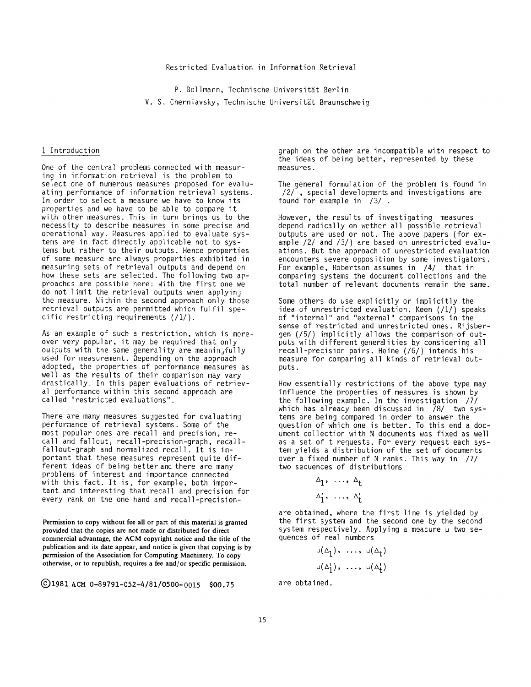P. Bollmann, Technische Universität Berlin V. S. Cherniavsky, Technische Universität Braunschweig

### 1 Introduction

One of the central problems connected with measuring in information retrieval is the problem to select one of numerous measures proposed for evaluating performance of information retrieval systems. In order to select a measure we have to know its properties and we have to be able to compare it with other measures. This in turn brings us to the necessity to describe measures in some precise and operational way. Measures applied to evaluate systems are in fact directly applicable not to systems but rather to their outputs. Hence properties of some measure are always properties exhibited in measuring sets of retrieval outputs and depend on how these sets are selected. The following two approaches are possible here: With the first one we do not limit the retrieval outputs when applying the measure. Within the second approach only those retrieval outputs are permitted which fulfil specific restricting requirements (/1/).

As an example of such a restriction, which is moreover very popular, it may be required that only outputs with the same generality are meaningfully used for measurement. Depending on the approach adopted, the properties of performance measures as well as the results of their comparison may vary drastically. In this paper evaluations of retrieval performance within this second approach are called "restricted evaluations".

There are many measures sujgested for evaluating performance of retrieval systems. Some of the most popular ones are recall and precision, recall and fallout, recall-precision-graph, recallfallout-graph and normalized recall. It is important that these measures represent quite different ideas of being better and there are many problems of interest and importance connected with this fact. It is, for example, both important and interesting that recall and precision for every rank on the one hand and recall-precision-

**Permission to copy without fee all or part of this material is granted provided that the copies are not made or distributed for direct commercial advantage, the ACM copyright notice and the title of the publication and its date appear, and notice is given that copying is by permission of the Association for Computing Machinery. To copy otherwise, or to republish, requires a fee and/or specific permission.** 

C) 1981 ACM 0-89791-052-4/81/0500-0015 \$00.75

graph on the other are incompatible with respect to the ideas of being better, represented by these measures.

The general formulation of the problem is found in  $/2/$ , special developments and investigations are found for example in /3/ .

However, the results of investigating measures depend radically on wether all possible retrieval outputs are used or not. The above papers (for example /2/ and /3/) are based on unrestricted evaluations. But the approach of unrestricted evaluation encounters severe opposition by some investigators. For example, Robertson assumes in /4/ that in comparing systems the document collections and the total number of relevant documents remain the same.

Some others do use explicitly or implicitly the idea of unrestricted evaluation. Keen (/I/) speaks of "internal" and "external" comparisons in the sense of restricted and unrestricted ones. Rijsbergen (/5/) implicitly allows the comparison of outputs with different generalities by considering all recall-precision pairs. Heine (/6/) intends his measure for comparing all kinds of retrieval outputs.

How essentially restrictions of the above type may influence the properties of measures is shown by the following example. In the investigation /7/ which has already been discussed in 78/ two systems are being compared in order to answer the question of which one is better. To this end a document collection with N documents was fixed as well as a set of t requests. For every request each system yields a distribution of the set of documents over a fixed number of N ranks. This way in /7/ two sequences of distributions

> $\Delta_1$ , ...,  $\Delta_t$  $\Delta_1^{\prime}$ , ...,  $\Delta_{+}^{\prime}$

are obtained, where the first line is yielded by the first system and the second one by the second system respectively. Applying a measure  $\mu$  two sequences of real numbers

$$
\mu(\Delta_1), \ldots, \mu(\Delta_t)
$$
  

$$
\mu(\Delta_1), \ldots, \mu(\Delta_t)
$$

are obtained.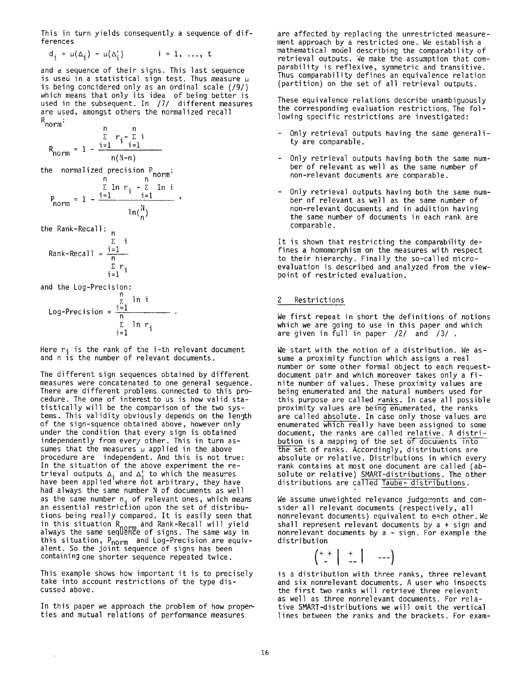This in turn yields consequently a sequence of differences

$$
d_i = \mu(\Delta_i) - \mu(\Delta_i^t) \qquad i = 1, ..., t
$$

and a sequence of their signs. This last sequence is used in a statistical sign test. Thus measure  $\mu$ is being concidered only as an ordinal scale (/9/) which means that only its idea of being better is used in the subsequent. In /7/ different measures are used, amongst others the normalized recall R<br>norm<sup>:</sup>

$$
R_{norm} = 1 - \frac{\sum_{i=1}^{n} r_i - \sum_{i=1}^{n} i}{n(N-n)}
$$

the normalized precision P<sub>norm</sub>:

$$
P_{norm} = 1 - \frac{\sum_{i=1}^{n} \ln r_i - \sum_{i=1}^{n} \ln i}{\ln(\frac{N}{n})},
$$

the Rank-Recall: <sub>n</sub>

$$
Rank-Recall = \frac{\sum_{i=1}^{n} i}{\sum_{i=1}^{n} r_i}
$$

and the Log-Precision:

Log-Precision = 
$$
\frac{\sum_{i=1}^{n} \ln i}{\sum_{i=1}^{n} \ln r_i}
$$

Here  $r_i$  is the rank of the i-th relevant document and n is the number of relevant documents.

The different sign sequences obtained by different measures were concatenated to one general sequence. There are different problems connected to this procedure. The one of interest to us is how valid statistically will be the comparison of the two systems. This validity obviously depends on the length of the sign-squence obtained above, however only under the condition that every sign is obtained independently from every other. This in turn assumes that the measures  $\mu$  applied in the above procedure are independent. And this is not true: In the situation of the above experiment the retrieval outputs  $\Delta$ . and  $\Delta$ : to which the measures have been applied where hot arbitrary, they have had always the same number N of documents as well as the same number n. of relevant ones, which means an essential restriction upon the set of distribu tions being really compared. It is easily seen that in this situation R<sub>norm</sub> and Rank-Recall will yield always the same seqUĕhce of signs. The same way in this situation, Pnorm and Log-Precision are equivalent. So the joint sequence of signs has been containing one shorter sequence repeated twice.

This example shows how important it is to precisely take into account restrictions of the type discussed above.

In this paper we approach the problem of how properties and mutual relations of performance measures

 $\bar{\star}$ 

are affected by replacing the unrestricted measurement approach by a restricted one. We establish a mathematical model describing the comparability of retrieval outputs. We make the assumption that comparability is reflexive, symmetric and transitive. Thus comparability defines an equivalence relation (partition) on the set of all retrieval outputs.

These equivalence relations describe unambiguously the corresponding evaluation restrictions. The following specific restrictions are investigated:

- Only retrieval outputs having the same generality are comparable.
- Only retrieval outputs having both the same number of relevant as well as the same number of non-relevant documents are comparable.
- Only retrieval outputs having both the same number of relevant as well as the same number of non-relevant documents and in addition having the same number of documents in each rank are comparable.

It is shown that restricting the comparability defines a homomorphism on the measures with respect to their hierarchy. Finally the so-called microevaluation is described and analyzed from the viewpoint of restricted evaluation.

### **Restrictions**

We first repeat in short the definitions of notions which we are going to use in this paper and which are given in full in paper /2/ and /3/

We start with the notion of a distribution. We assume a proximity function which assigns a real number or some other formal object to each requestdocument pair and which moreover takes only a finite number of values. These proximity values are being enumerated and the natural numbers used for this purpose are called ranks. In case all possible proximity values are being enumerated, the ranks are called absolute. In case only those values are enumerated which really have been assigned to some document, the ranks are called relative. A distribution is a mapping of the set of documents into the set of ranks. Accordingly, distributions are absolute or relative. Distributions in which every rank contains at most one document are called (absolute or relative) SMART-distributions. The other distributions are called Taube- distributions.

We assume unweighted relevance judgements and consider all relevant documents (respectively, all nonrelevant documents) equivalent to each other. We shall represent relevant documents by a + sign and nonrelevant documents by a - sign. For example the distribution



is a distribution with three ranks, three relevant and six nonrelevant documents. A user who inspects the first two ranks will retrieve three relevant as well as three nonrelevant documents. For relative SMART-distributions we will omit the vertical lines between the ranks and the brackets. For exam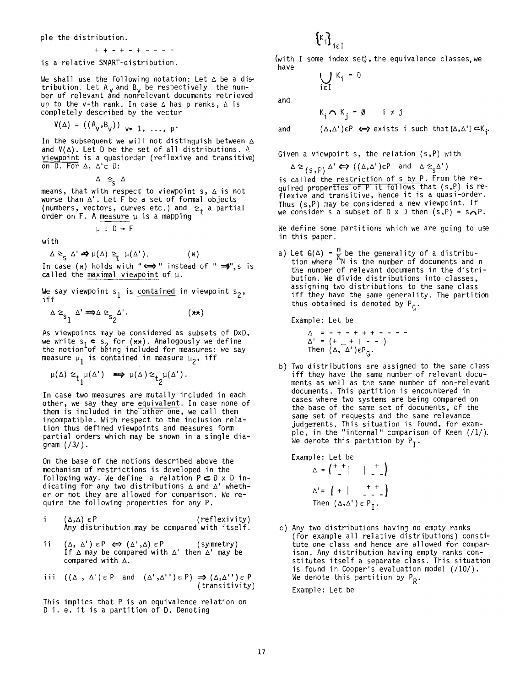ple the distribution.

$$
++-+-----
$$

is a relative SMART-distribution.

We shall use the following notation: Let  $\Delta$  be a distribution. Let A $_{\sf v}$  and B $_{\sf v}$  be respectively  $\,$  the num-  $\,$ ber of relevant and nonfelevant documents retrieved up to the v-th rank. In case  $\Delta$  has p ranks,  $\Delta$  is completely described by the vector

$$
V(\Delta) = ((A_v, B_v))_{v=1, ..., p}
$$

In the subsequent we will not distinguish between  $\Delta$ and  $V(\Delta)$ . Let D be the set of all distributions. A viewpoint is a quasiorder (reflexive and transitive) on  $D.$  For  $\triangle$ ,  $\triangle' \in D$ :

 $\Delta \geq_{\varsigma} \Delta'$ 

means, that with respect to viewpoint s,  $\vartriangle$  is not worse than A'. Let F be a set of formal objects (numbers, vectors, curves etc.) and  $\geq_t$  a partial order on  $F$ . A measure  $\mu$  is a mapping

$$
\mu\;:\;D\to I
$$

with

 $\Delta \geq_{\mathsf{S}} \Delta' \Rightarrow \mu(\Delta) \geq_{\mathsf{F}} \mu(\Delta').$  (x)

In case ( $\star$ ) holds with " $\Longleftrightarrow$ " instead of "  $\Rightarrow$ ",s is called the maximal viewpoint of  $\mu$ .

We say viewpoint s<sub>1</sub> is contained in viewpoint s<sub>2</sub>, iff

$$
\Delta \geq_{s_1} \Delta' \implies \Delta \geq_{s_2} \Delta'.
$$
 (\*\*)

As viewpoints may be considered as subsets of DxD, we write  $s_1 \bullet s_2$  for ( $\star\star$ ). Analogously we define the notion of being included for measures: we say measure  $\mu_1$  is contained in measure  $\mu_2$ , iff

$$
\mu(\Delta) \geq_{t_1} \mu(\Delta') \implies \mu(\Delta) \geq_{t_2} \mu(\Delta').
$$

In case two measures are mutally included in each other, we say they are equivalent. In case none of them is included in the other one, we call them incompatible. With respect to the inclusion relation thus defined viewpoints and measures form partial orders which may be shown in a single diagram (/3/).

On the base of the notions described above the mechanism of restrictions is developed in the following way. We define a relation  $P\subset D \times D$  indicating for any two distributions  $\Delta$  and  $\Delta'$  whether or not they are allowed for comparison. We require the following properties for any P.

$$
\begin{array}{ll}\n i & (\Delta, \Lambda) \in P \\
\text{Any distribution may be compared with itself.}\n \end{array}
$$

ii (Δ,Δ')εP ⇔> (Δ',Δ)εP (symmetry) If  $\Delta$  may be compared with  $\Delta'$  then  $\Delta'$  may be compared with  $\Delta$ .

$$
\text{iii } (\Delta, \Delta') \in P \text{ and } (\Delta', \Delta'') \in P) \implies (\Delta, \Delta'') \in P
$$
\n
$$
\text{(transitivity)}
$$

This implies that P is an equivalence relation on D i. e. it is a partition of D. Denoting

(with I some index set), the equivalence classes, we have

$$
\bigcup_{i \in I} K_i = D
$$

 $\cdot$   $\cdot$  i<sub>c</sub>I

and

$$
\kappa_i \cap \kappa_j = \emptyset \qquad i \neq j
$$

and

 $(\Delta, \Delta') \in P \iff \text{exists}$  i such that  $\{\Delta, \Delta'\} \subset K_i$ .

Given a viewpoint s, the relation (s,P) with

 $\Delta \geq_{(S,P)} \Delta' \Leftrightarrow ((\Delta, \Delta')\epsilon P \text{ and } \Delta \geq_{S} \Delta')$ 

is called the restriction of s by P. From the required properties of P it follows that (s,P) is reflexive and transitive, hence it is a quasi-order. Thus (s,P) may be considered a new viewpoint. If we consider s a subset of D x D then  $(s, P) = s \cdot P$ .

We define some partitions which we are going to use in this paper.

a) Let G( $\Delta$ ) =  $\frac{1}{N}$  be the generality of a distribu tion where ''N is the number of documents and n the number of relevant documents in the distribution. We divide distributions into classes, assigning two distributions to the same class iff they have the same generality. The partition thus obtained is denoted by  $P_{\alpha}$ .

Example: Let be

Δ = - + - + + + - - -<br>Δ' = (+ \_ + | *-* - ) Then  $(\Delta, \Delta')\epsilon P_{\alpha}$ .

b) Two distributions are assigned to the same class iff they have the same number of relevant documents as well as the same number of non-relevant documents. This partition is encountered in cases where two systems are being compared on the base of the same set of documents, of the same set of requests and the same relevance judgements. This situation is found, for example, in the "internal" comparison of Keen (/1/). We denote this partition by  $P_T$ .

Example: Let be  $\Delta = \begin{pmatrix} + & 1 \\ - & 1 \end{pmatrix} \begin{pmatrix} 1 & 1 \\ - & -1 \end{pmatrix}$  $\Delta' = \left( + \begin{array}{cc} + & + & + \\ - & - & - \end{array} \right)$ Then  $(\Delta, \Delta') \in P_T$ .

c) Any two distributions having no empty ranks (for example all relative distributions) constitute one class and hence are allowed for compa~ ison. Any distribution having empty ranks constitutes itself a separate class. This situation is found in Cooper's evaluation model (/10/). We denote this partition by  $P_p$ .

Example: Let be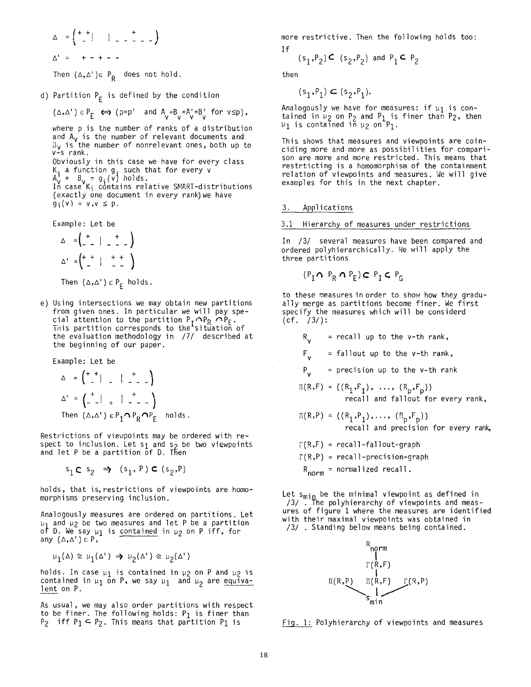**=f++i - i + ) A'** = + - + - -

Then  $(\Delta, \Delta') \in P_R$  does not hold.

d) Partition  $P_F$  is defined by the condition

$$
(\Delta, \Delta') \in P_E \iff (p = p' \text{ and } A_v + B_v = A_v' + B_v' \text{ for } v \leq p),
$$

where p is the number of ranks of a distribution and A<sub>v</sub> is the number of relevant documents and  $3\mathsf{v}$  is the number of nonrelevant ones, both up to v-s rank.

Obviously in this case we have for every class K. a function  $\mathfrak{g}_z$  such that for every  $\mathsf{v}$  $A^+$  +  $B^-$  =  $g^-(v)$  holds.

case'K<sub>i</sub> contains relative SMART-distributions (exactly one document in every rank) we have  $g_i(v) = v, v \le p$ .

Example: Let be

$$
\Delta = \begin{pmatrix} + & 1 & + \\ - & 1 & - & - \end{pmatrix}
$$
  

$$
\Delta' = \begin{pmatrix} + & 1 & + & + \\ - & 1 & - & - \end{pmatrix}
$$

Then  $(\Delta, \Delta') \in P_F$  holds.

e) Using intersections we may obtain new partitions from given ones. In particular we will pay special attention to the partition  $\mathsf{P}_\mathsf{r} {\,\boldsymbol{\cap}\,} \mathsf{P}_\mathsf{R}$   $\mathsf{P}\mathsf{P}_\mathsf{F}$ This partition corresponds to the'situation'of the evaluation methodology in /7/ described at the beginning of our paper.

Example: Let be  $\overline{ }$ 

$$
\Delta = \begin{pmatrix} + & + & + \\ - & + & - \\ - & - & + \end{pmatrix}
$$
\n
$$
\Delta' = \begin{pmatrix} + & + & + \\ - & - & + \\ - & - & + \end{pmatrix}
$$
\n
$$
\text{Then } (\Delta, \Delta') \in P_{\mathbf{I}} \cap P_{\mathbf{R}} \cap P_{\mathbf{F}} \text{ holds.}
$$

Restrictions of viewpoints may be ordered with respect to inclusion. Let  $s_1$  and  $s_2$  be two viewpoints and let P be a partition of D. Then

 $s_1 \subset s_2 \Rightarrow (s_1, P) \subset (s_2, P)$ 

holds, that is, restrictions of viewpoints are homomorphisms preserving inclusion.

Analogously measures are ordered on partitions. Let  $\upmu_1$  and  $\upmu_2$  be two measures and let P be a partition of D. We say  $\mu_1$  is contained in  $\mu_2$  on P iff, for any (A,A')c P,

$$
\mu_1(\Delta) \ge \mu_1(\Delta^{\prime}) \Rightarrow \mu_2(\Delta^{\prime}) \ge \mu_2(\Delta^{\prime})
$$

holds. In case  $\mu_1$  is contained in  $\mu_2$  on P and  $\mu_2$  is contained in  $\mu_1$  on P, we say  $\mu_1$  and  $\mu_2$  are equivalent on P.

As usual, we may also order partitions with respect to be finer. The following holds:  $P_1$  is finer than P<sub>2</sub> iff P<sub>1</sub>  $\subseteq$  P<sub>2</sub>. This means that partition P<sub>1</sub> is

more restrictive. Then the following holds too: If

$$
(s_1, P_2) \subset (s_2, P_2)
$$
 and  $P_1 \subset P_2$ 

then

$$
(\mathsf{s}_1,\mathsf{P}_1)\subset (\mathsf{s}_2,\mathsf{P}_1).
$$

Analogously we have for measures: if  $\mu_1$  is contained in  $\mu_2$  on  $P_2$  and  $P_1$  is finer than  $P_2$ , then  $\mu_1$  is contained in  $\mu_2$  on  $\mathsf{P}_1$ .

This shows that measures and viewpoints are coinciding more and more as possibilities for comparison are more and more restricted. This means that restrticting is a homomorphism of the containment relation of viewpoints and measures. We will give examples for this in the next chapter.

### 3. Applications

#### 3.1 Hierarchy of measures under restrictions

In /3/ several measures have been compared and ordered polyhierarchically. Ne will apply the three partitions

$$
(\mathsf{P}_{\mathrm{I}} \cap \mathsf{P}_{\mathrm{R}} \cap \mathsf{P}_{\mathrm{E}}) \subset \mathsf{P}_{\mathrm{I}} \subset \mathsf{P}_{\mathrm{G}}
$$

to these measures in order to show how they gradually merge as partitions become finer. We first specify the measures which will be considerd  $(cf. /3/):$ 

$$
R_{\nu}
$$
 = recall up to the v-th rank,

 $F_{v}$  = fallout up to the v-th rank,

 $P_v$  = precision up to the v-th rank

$$
\Pi(R,F) = ((R_1,F_1), \ldots, (R_p,F_p))
$$
  
recall and fallout for every rank,

$$
\Pi(R, P) = ((R_1, P_1), \dots, (R_p, F_p))
$$
  
recall and precision for every rank,

$$
\Gamma(R, F) = recall-fallout-graph
$$

 $\Gamma(R,P)$  = recall-precision-graph

 $R_{norm}$  = normalized recall.

Let s<sub>min</sub> be the minimal viewpoint as defined in /3/ . The polyhierarchy of viewpoints and measures of figure 1 where the measures are identified with their maximal viewpoints was obtained in /3/ Standing below means being contained.



Fig. 1: Polyhierarchy of viewpoints and measures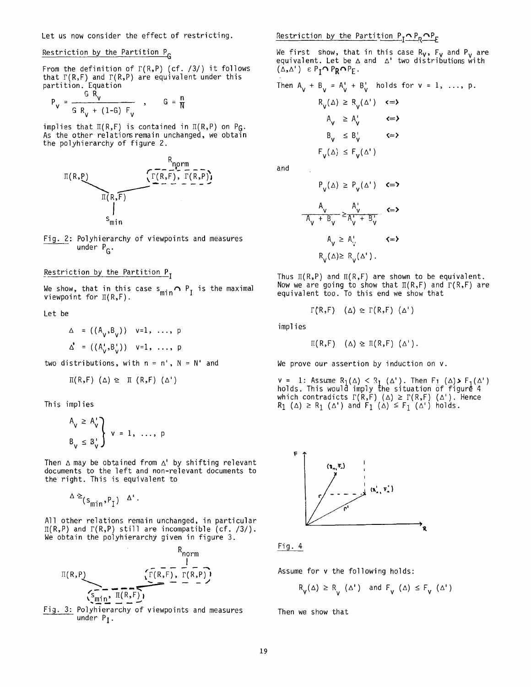# Restriction by the Partition P<sub>G</sub>

From the definition of  $\Gamma(R, P)$  (cf. /3/) it follows that  $\Gamma(R,F)$  and  $\Gamma(R,P)$  are equivalent under this partition. Equation

$$
P_V = \frac{G R_V}{G R_V + (1-G) F_V}
$$
,  $G = \frac{n}{N}$ 

implies that  $\Pi(R, F)$  is contained in  $\Pi(R, P)$  on P<sub>G</sub>. As the other relations remain unchanged, we obtain the polyhierarchy of figure 2.



Fig. 2: Polyhierarchy of viewpoints and measures under  $P_G$ .

## Restriction by the Partition P<sub>I</sub>

We show, that in this case  $s_{\texttt{min}} \cap P_{\texttt{T}}$  is the maximal viewpoint for  $\text{I}(\textsf{R},\textsf{F})$ .

Let be

$$
\Delta = ((A_{V}, B_{V})) \quad v=1, \ldots, p
$$
  

$$
\Delta' = ((A_{V}^{T}, B_{V}^{T})) \quad v=1, \ldots, p
$$

two distributions, with  $n = n'$ ,  $N = N'$  and

$$
\Pi(R,F) (\Delta) \geq \Pi (R,F) (\Delta')
$$

This implies

$$
A_{v} \geq A_{v} \atop B_{v} \leq B_{v} \atop B_{v} \leq 1, \ldots, p
$$

Then  $\triangle$  may be obtained from  $\triangle'$  by shifting relevant documents to the left and non-relevant documents to the right. This is equivalent to

$$
\Delta \geq (s_{\min}, P_I) \quad \Delta'.
$$

All other relations remain unchanged, in particular  $\Pi(R, P)$  and  $\Gamma(R, P)$  still are incompatible (cf. /3/). We obtain the polyhierarchy given in figure 3.



Fig. 3: Polyhierarchy of viewpoints and measures under  $P_{I}$ .

Restriction by the Partition  $P_T \cap P_R \cap P_F$ 

We first show, that in this case  $R_{\mathsf{V}}$ ,  $F_{\mathsf{V}}$  and  $P_{\mathsf{V}}$  are equivalent. Let be A and A' two distributions with  $(\Delta, \Delta') \in P_I \cap P_R \cap P_E$ .

Then 
$$
A_v + B_v = A_v' + B_v'
$$
 holds for  $v = 1, ..., p$ .

$$
R_{V}(\Delta) \ge R_{V}(\Delta') \quad \Longleftrightarrow
$$
  
\n
$$
A_{V} \ge A_{V}' \qquad \Longleftrightarrow
$$
  
\n
$$
B_{V} \le B_{V}' \qquad \Longleftrightarrow
$$
  
\n
$$
F_{V}(\Delta) \le F_{V}(\Delta')
$$

and

$$
P_{V}(\Delta) \ge P_{V}(\Delta') \quad \text{<= }\mathbf{>}
$$
\n
$$
\frac{A_{V}}{A_{V} + B_{V}} \ge \frac{A_{V}^{+}}{A_{V}^{+} + B_{V}^{+}} \quad \text{<= }\mathbf{>}
$$
\n
$$
A_{V} \ge A_{V}^{+} \quad \text{<= }\mathbf{>}
$$
\n
$$
R_{V}(\Delta) \ge R_{V}(\Delta').
$$

Thus  $\mathbb{I}(R,P)$  and  $\mathbb{I}(R,F)$  are shown to be equivalent. Now we are going to show that  $\Pi(R,F)$  and  $\Gamma(R,F)$  are equivalent too. To this end we show that

$$
\Gamma(R, F)
$$
  $(\Delta) \geq \Gamma(R, F)$   $(\Delta')$ 

implies

$$
\Pi(R, F) \quad (\Delta) \geq \Pi(R, F) \ (\Delta').
$$

We prove our assertion by induction on v.

 $v = 1:$  Assume R<sub>1</sub>( $\Delta$ ) < R<sub>1</sub> ( $\Delta$ '). Then F<sub>1</sub> ( $\Delta$ ), F<sub>1</sub>( $\Delta$ ') holds. This would imply the situation of figure 4 which contradicts  $\Gamma(R,\mathsf{F})$  (Δ)  $\geq \Gamma(R,\mathsf{F})$  (Δ'). Hence  $R_1$  (Δ)  $\geq R_1$  (Δ') and F<sub>1</sub> (Δ)  $\leq$  F<sub>1</sub> (Δ') holds.



Fig. 4

Assume for v the following holds:

$$
R_V(\Delta) \ge R_V(\Delta') \quad \text{and} \quad F_V(\Delta) \le F_V(\Delta')
$$

Then we show that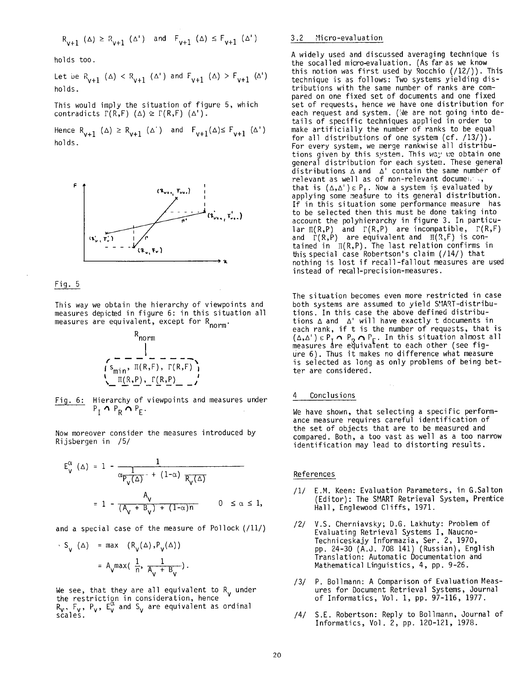$$
R_{v+1}~(\Delta)~\geq~R_{v+1}~(\Delta^*)\quad\text{and}\quad F_{v+1}~(\Delta)~\leq~F_{v+1}~(\Delta^*)
$$

holds too.

Let be R<sub>v+1</sub> ( $\Delta$ ) < R<sub>v+1</sub> ( $\Delta$ <sup>'</sup>) and F<sub>v+1</sub> ( $\Delta$ ) > F<sub>v+1</sub> ( $\Delta$ <sup>'</sup>) holds.

This would imply the situation of figure 5, which contradicts  $\Gamma(R, F)$  ( $\Delta$ )  $\geq \Gamma(R, F)$  ( $\Delta'$ ).

Hence  $R_{v+1}$  ( $\Delta$ )  $\geq R_{v+1}$  ( $\Delta$ ') and  $F_{v+1}$ ( $\Delta$ ) $\leq F_{v+1}$  ( $\Delta$ ') holds.



#### Fig. 5

This way we obtain the hierarchy of viewpoints and measures depicted in figure 6: in this situation all measures are equivalent, except for R<sub>norm</sub>.



Fig. 6: Hierarchy of viewpoints and measures under  $P_{\rm T} \cap P_{\rm R} \cap P_{\rm F}$ .

Now moreover consider the measures introduced by Rijsbergen in /5/

$$
E_V^{\alpha} (\Delta) = 1 - \frac{1}{\alpha \frac{1}{P_V(\Delta)} - + (1-\alpha) \frac{R_V(\Delta)}{R_V(\Delta)}}
$$
  
= 1 -  $\frac{A_V}{(A_V + B_V) + (1-\alpha)n}$  0  $\le \alpha \le 1$ ,

and a special case of the measure of Pollock (/11/)

$$
S_V (\Delta) = \max \left( R_V(\Delta), P_V(\Delta) \right)
$$
  
=  $A_V \max \left( \frac{1}{n}, \frac{1}{A_V + B_V} \right).$ 

We see, that they are all equivalent to R under the restriction in consideration, hence  $R_{\mathsf{v}},$   $\mathsf{F}_{\mathsf{v}},$   $\mathsf{F}_{\mathsf{v}},$   $\mathsf{F}_{\mathsf{v}}$  and  $\mathsf{S}_{\mathsf{v}}$  are equivalent as ordinal

### 3.2 Micro-evaluation

A widely used and discussed averaging technique is the socalled micro-evaluation. (As far as we know this notion was first used by Rocchio  $(12/))$ . This technique is as follows: Two systems yielding distributions with the same number of ranks are compared on one fixed set of documents and one fixed set of requests, hence we have one distribution for each request and system. (We are not going into details of specific techniques applied in order to make artificially the number of ranks to be equal for all distributions of one system  $(cf. /13/))$ . For every system, we merge rankwise all distributions given by this system. This way v:e obtain one general distribution for each system. These general distributions  $\Delta$  and  $\Delta'$  contain the same number of relevant as well as of non-relevant docume $\cdots$ , that is ( $\Delta, \Delta'$ )  $\epsilon$  P<sub>r</sub>. Now a system is evaluated by applying some measure to its general distribution. If in this situation some performance measure has to be selected then this must be done taking into account the polyhierarchy in figure 3. In particular  $\pi(R,P)$  and  $\Gamma(R,P)$  are incompatible,  $\Gamma(R,F)$ and  $~\Gamma(\texttt{R},\texttt{P})~$  are equivalent and  $~\texttt{H}(\texttt{R},\texttt{F})$  is contained in  $\pi(R,P)$ . The last relation confirms in this special case Robertson's claim (/14/) that nothing is lost if recall-fallout measures are used instead of recall-precision-measures.

The situation becomes even more restricted in case both systems are assumed to yield S~IART-distributions. In this case the above defined distributions  $\Delta$  and  $\Delta'$  will have exactly t documents in each rank, if t is the number of requests, that is  $(\Delta, \Delta') \mathrel{\varepsilon}$  P<sub>r</sub>  $\boldsymbol{\cap}$  P<sub>p</sub>  $\boldsymbol{\cap}$  P<sub>E</sub>. In this situation almost all measures are equivalent to each other (see fig ure 6). Thus it makes no difference what measure is selected as long as only problems of being better are considered.

### Conclusions

We have shown, that selecting a specific performance measure requires careful identification of the set of objects that are to be measured and compared. Both, a too vast as well as a too narrow identification may lead to distorting results.

### References

- /1/ E.M. Keen: Evaluation Parameters, in G.Salton (Editor): The SMART Retrieval System, Prentice Hall, Englewood Cliffs, 1971.
- /2/ V.S. Cherniavsky; D.G. Lakhuty: Problem of Evaluating Retrieval Systems I, Naucno-Techniceskajy Informazia, Ser. 2, 1970, pp. 24-30 (A.J. 708 141) (Russian), English Translation: Automatic Documentation and Mathematical Linguistics, 4, pp. 9-26.
- /3/ P. Bollmann: A Comparison of Evaluation Measures for Document Retrieval Systems, Journal of Informatics, Vol. I, pp. 97-116, 1977.
- /4/ S.E. Robertson: Reply to Bollmann, Journal of Informatics, Vol. 2, pp. 120-121, 1978.